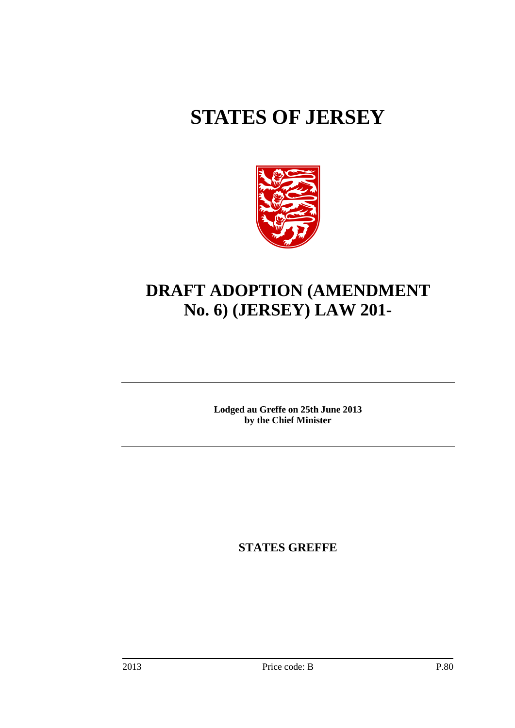# **STATES OF JERSEY**



## **DRAFT ADOPTION (AMENDMENT No. 6) (JERSEY) LAW 201-**

**Lodged au Greffe on 25th June 2013 by the Chief Minister**

**STATES GREFFE**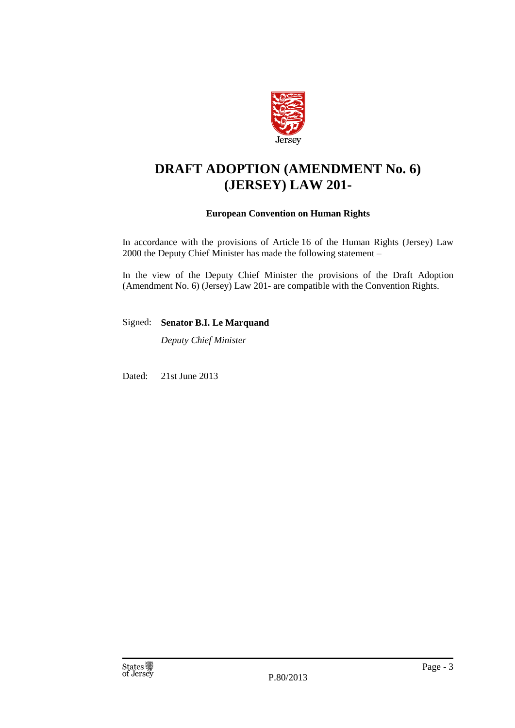

## **DRAFT ADOPTION (AMENDMENT No. 6) (JERSEY) LAW 201-**

#### **European Convention on Human Rights**

In accordance with the provisions of Article 16 of the Human Rights (Jersey) Law 2000 the Deputy Chief Minister has made the following statement –

In the view of the Deputy Chief Minister the provisions of the Draft Adoption (Amendment No. 6) (Jersey) Law 201- are compatible with the Convention Rights.

Signed: **Senator B.I. Le Marquand**

*Deputy Chief Minister*

Dated: 21st June 2013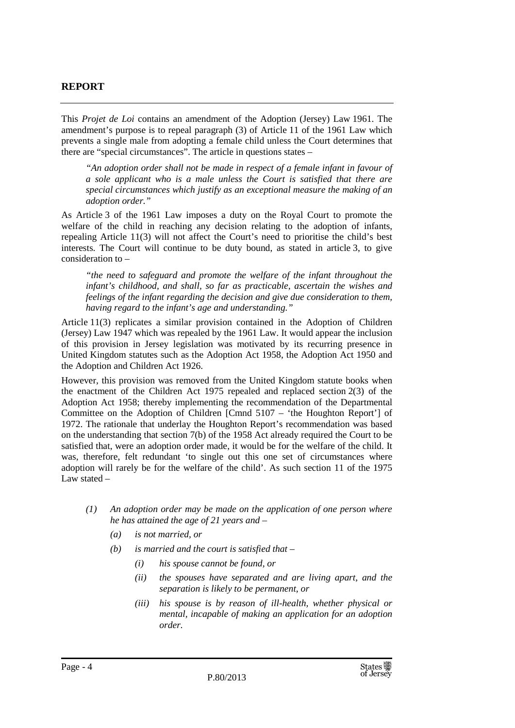#### **REPORT**

This *Projet de Loi* contains an amendment of the Adoption (Jersey) Law 1961. The amendment's purpose is to repeal paragraph (3) of Article 11 of the 1961 Law which prevents a single male from adopting a female child unless the Court determines that there are "special circumstances". The article in questions states –

*"An adoption order shall not be made in respect of a female infant in favour of a sole applicant who is a male unless the Court is satisfied that there are special circumstances which justify as an exceptional measure the making of an adoption order."*

As Article 3 of the 1961 Law imposes a duty on the Royal Court to promote the welfare of the child in reaching any decision relating to the adoption of infants, repealing Article 11(3) will not affect the Court's need to prioritise the child's best interests. The Court will continue to be duty bound, as stated in article 3, to give consideration to –

*"the need to safeguard and promote the welfare of the infant throughout the infant's childhood, and shall, so far as practicable, ascertain the wishes and feelings of the infant regarding the decision and give due consideration to them, having regard to the infant's age and understanding."*

Article 11(3) replicates a similar provision contained in the Adoption of Children (Jersey) Law 1947 which was repealed by the 1961 Law. It would appear the inclusion of this provision in Jersey legislation was motivated by its recurring presence in United Kingdom statutes such as the Adoption Act 1958, the Adoption Act 1950 and the Adoption and Children Act 1926.

However, this provision was removed from the United Kingdom statute books when the enactment of the Children Act 1975 repealed and replaced section 2(3) of the Adoption Act 1958; thereby implementing the recommendation of the Departmental Committee on the Adoption of Children [Cmnd 5107 – 'the Houghton Report'] of 1972. The rationale that underlay the Houghton Report's recommendation was based on the understanding that section 7(b) of the 1958 Act already required the Court to be satisfied that, were an adoption order made, it would be for the welfare of the child. It was, therefore, felt redundant 'to single out this one set of circumstances where adoption will rarely be for the welfare of the child'. As such section 11 of the 1975 Law stated –

- *(1) An adoption order may be made on the application of one person where he has attained the age of 21 years and –*
	- *(a) is not married, or*
	- *(b) is married and the court is satisfied that –*
		- *(i) his spouse cannot be found, or*
		- *(ii) the spouses have separated and are living apart, and the separation is likely to be permanent, or*
		- *(iii) his spouse is by reason of ill-health, whether physical or mental, incapable of making an application for an adoption order.*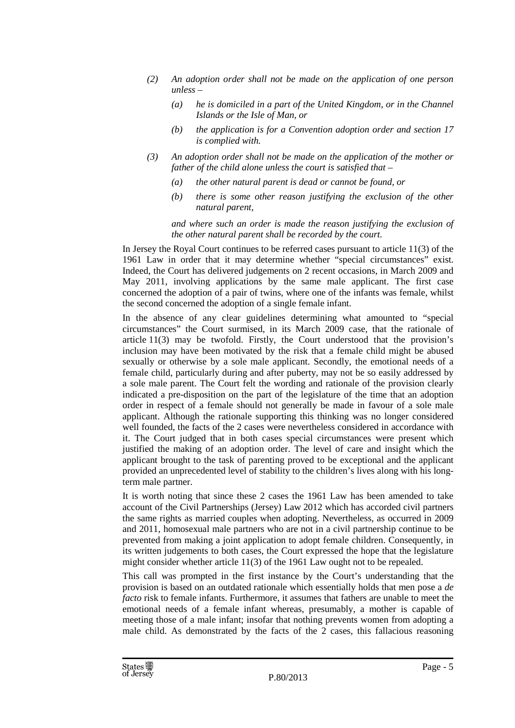- *(2) An adoption order shall not be made on the application of one person unless –*
	- *(a) he is domiciled in a part of the United Kingdom, or in the Channel Islands or the Isle of Man, or*
	- *(b) the application is for a Convention adoption order and section 17 is complied with.*
- *(3) An adoption order shall not be made on the application of the mother or father of the child alone unless the court is satisfied that –*
	- *(a) the other natural parent is dead or cannot be found, or*
	- *(b) there is some other reason justifying the exclusion of the other natural parent,*

*and where such an order is made the reason justifying the exclusion of the other natural parent shall be recorded by the court.* 

In Jersey the Royal Court continues to be referred cases pursuant to article 11(3) of the 1961 Law in order that it may determine whether "special circumstances" exist. Indeed, the Court has delivered judgements on 2 recent occasions, in March 2009 and May 2011, involving applications by the same male applicant. The first case concerned the adoption of a pair of twins, where one of the infants was female, whilst the second concerned the adoption of a single female infant.

In the absence of any clear guidelines determining what amounted to "special circumstances" the Court surmised, in its March 2009 case, that the rationale of article 11(3) may be twofold. Firstly, the Court understood that the provision's inclusion may have been motivated by the risk that a female child might be abused sexually or otherwise by a sole male applicant. Secondly, the emotional needs of a female child, particularly during and after puberty, may not be so easily addressed by a sole male parent. The Court felt the wording and rationale of the provision clearly indicated a pre-disposition on the part of the legislature of the time that an adoption order in respect of a female should not generally be made in favour of a sole male applicant. Although the rationale supporting this thinking was no longer considered well founded, the facts of the 2 cases were nevertheless considered in accordance with it. The Court judged that in both cases special circumstances were present which justified the making of an adoption order. The level of care and insight which the applicant brought to the task of parenting proved to be exceptional and the applicant provided an unprecedented level of stability to the children's lives along with his longterm male partner.

It is worth noting that since these 2 cases the 1961 Law has been amended to take account of the Civil Partnerships (Jersey) Law 2012 which has accorded civil partners the same rights as married couples when adopting. Nevertheless, as occurred in 2009 and 2011, homosexual male partners who are not in a civil partnership continue to be prevented from making a joint application to adopt female children. Consequently, in its written judgements to both cases, the Court expressed the hope that the legislature might consider whether article 11(3) of the 1961 Law ought not to be repealed.

This call was prompted in the first instance by the Court's understanding that the provision is based on an outdated rationale which essentially holds that men pose a *de facto* risk to female infants. Furthermore, it assumes that fathers are unable to meet the emotional needs of a female infant whereas, presumably, a mother is capable of meeting those of a male infant; insofar that nothing prevents women from adopting a male child. As demonstrated by the facts of the 2 cases, this fallacious reasoning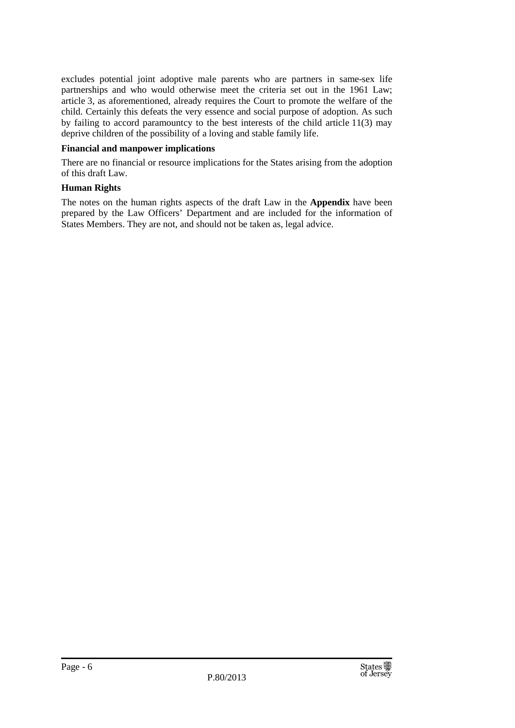excludes potential joint adoptive male parents who are partners in same-sex life partnerships and who would otherwise meet the criteria set out in the 1961 Law; article 3, as aforementioned, already requires the Court to promote the welfare of the child. Certainly this defeats the very essence and social purpose of adoption. As such by failing to accord paramountcy to the best interests of the child article 11(3) may deprive children of the possibility of a loving and stable family life.

#### **Financial and manpower implications**

There are no financial or resource implications for the States arising from the adoption of this draft Law.

#### **Human Rights**

The notes on the human rights aspects of the draft Law in the **Appendix** have been prepared by the Law Officers' Department and are included for the information of States Members. They are not, and should not be taken as, legal advice.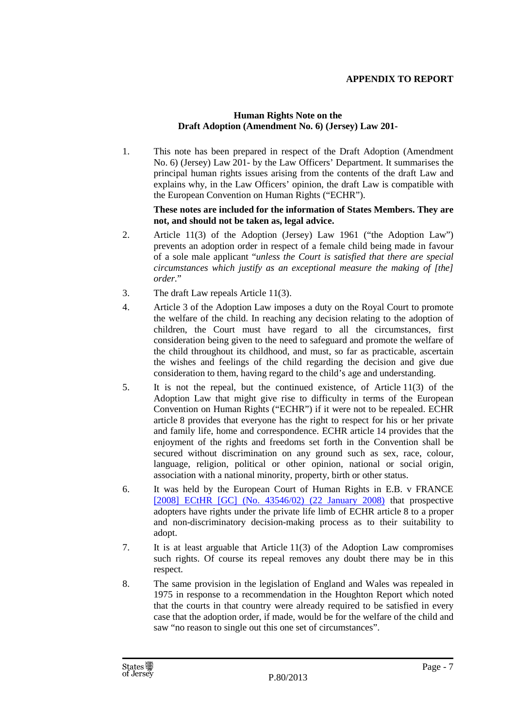#### **APPENDIX TO REPORT**

#### **Human Rights Note on the Draft Adoption (Amendment No. 6) (Jersey) Law 201-**

1. This note has been prepared in respect of the Draft Adoption (Amendment No. 6) (Jersey) Law 201- by the Law Officers' Department. It summarises the principal human rights issues arising from the contents of the draft Law and explains why, in the Law Officers' opinion, the draft Law is compatible with the European Convention on Human Rights ("ECHR").

#### **These notes are included for the information of States Members. They are not, and should not be taken as, legal advice.**

- 2. Article 11(3) of the Adoption (Jersey) Law 1961 ("the Adoption Law") prevents an adoption order in respect of a female child being made in favour of a sole male applicant "*unless the Court is satisfied that there are special circumstances which justify as an exceptional measure the making of [the] order.*"
- 3. The draft Law repeals Article 11(3).
- 4. Article 3 of the Adoption Law imposes a duty on the Royal Court to promote the welfare of the child. In reaching any decision relating to the adoption of children, the Court must have regard to all the circumstances, first consideration being given to the need to safeguard and promote the welfare of the child throughout its childhood, and must, so far as practicable, ascertain the wishes and feelings of the child regarding the decision and give due consideration to them, having regard to the child's age and understanding.
- 5. It is not the repeal, but the continued existence, of Article 11(3) of the Adoption Law that might give rise to difficulty in terms of the European Convention on Human Rights ("ECHR") if it were not to be repealed. ECHR article 8 provides that everyone has the right to respect for his or her private and family life, home and correspondence. ECHR article 14 provides that the enjoyment of the rights and freedoms set forth in the Convention shall be secured without discrimination on any ground such as sex, race, colour, language, religion, political or other opinion, national or social origin, association with a national minority, property, birth or other status.
- 6. It was held by the European Court of Human Rights in E.B. v FRANCE [\[2008\] ECtHR \[GC\] \(No. 43546/02\) \(22 January 2008\)](http://www.bailii.org/eu/cases/ECHR/2008/55.html) that prospective adopters have rights under the private life limb of ECHR article 8 to a proper and non-discriminatory decision-making process as to their suitability to adopt.
- 7. It is at least arguable that Article 11(3) of the Adoption Law compromises such rights. Of course its repeal removes any doubt there may be in this respect.
- 8. The same provision in the legislation of England and Wales was repealed in 1975 in response to a recommendation in the Houghton Report which noted that the courts in that country were already required to be satisfied in every case that the adoption order, if made, would be for the welfare of the child and saw "no reason to single out this one set of circumstances".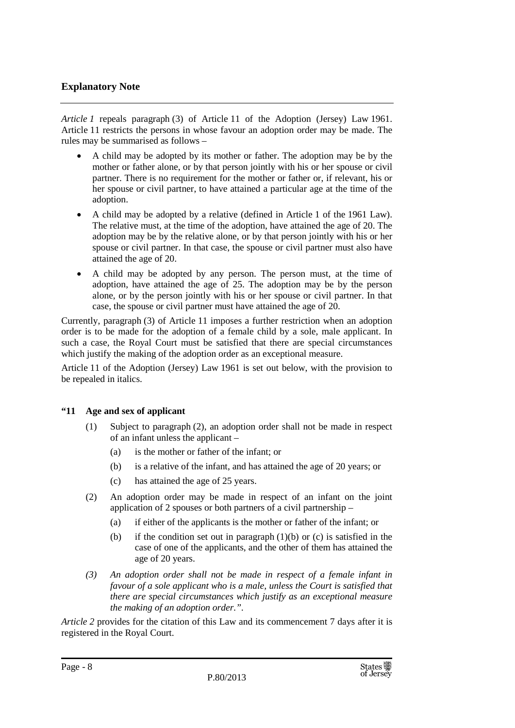#### **Explanatory Note**

*Article 1* repeals paragraph (3) of Article 11 of the Adoption (Jersey) Law 1961. Article 11 restricts the persons in whose favour an adoption order may be made. The rules may be summarised as follows –

- A child may be adopted by its mother or father. The adoption may be by the mother or father alone, or by that person jointly with his or her spouse or civil partner. There is no requirement for the mother or father or, if relevant, his or her spouse or civil partner, to have attained a particular age at the time of the adoption.
- A child may be adopted by a relative (defined in Article 1 of the 1961 Law). The relative must, at the time of the adoption, have attained the age of 20. The adoption may be by the relative alone, or by that person jointly with his or her spouse or civil partner. In that case, the spouse or civil partner must also have attained the age of 20.
- A child may be adopted by any person. The person must, at the time of adoption, have attained the age of 25. The adoption may be by the person alone, or by the person jointly with his or her spouse or civil partner. In that case, the spouse or civil partner must have attained the age of 20.

Currently, paragraph (3) of Article 11 imposes a further restriction when an adoption order is to be made for the adoption of a female child by a sole, male applicant. In such a case, the Royal Court must be satisfied that there are special circumstances which justify the making of the adoption order as an exceptional measure.

Article 11 of the Adoption (Jersey) Law 1961 is set out below, with the provision to be repealed in italics.

#### **"11 Age and sex of applicant**

- (1) Subject to paragraph (2), an adoption order shall not be made in respect of an infant unless the applicant –
	- (a) is the mother or father of the infant; or
	- (b) is a relative of the infant, and has attained the age of 20 years; or
	- (c) has attained the age of 25 years.
- (2) An adoption order may be made in respect of an infant on the joint application of 2 spouses or both partners of a civil partnership –
	- (a) if either of the applicants is the mother or father of the infant; or
	- (b) if the condition set out in paragraph  $(1)(b)$  or  $(c)$  is satisfied in the case of one of the applicants, and the other of them has attained the age of 20 years.
- *(3) An adoption order shall not be made in respect of a female infant in favour of a sole applicant who is a male, unless the Court is satisfied that there are special circumstances which justify as an exceptional measure the making of an adoption order.".*

*Article 2* provides for the citation of this Law and its commencement 7 days after it is registered in the Royal Court.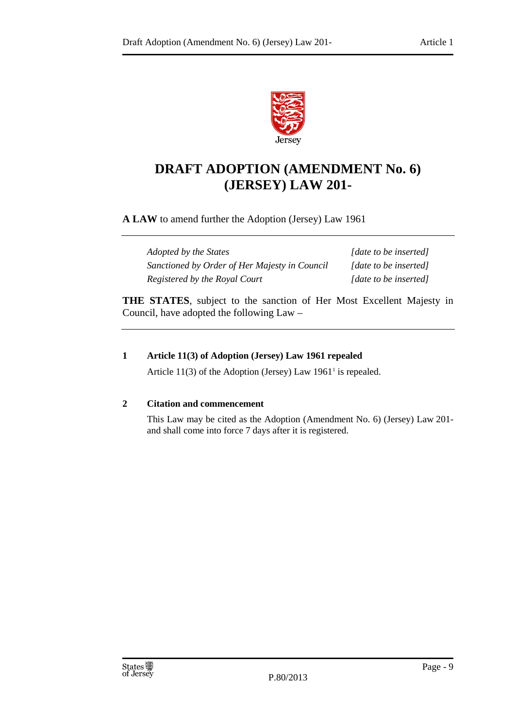

### **DRAFT ADOPTION (AMENDMENT No. 6) (JERSEY) LAW 201-**

**A LAW** to amend further the Adoption (Jersey) Law 1961

*Adopted by the States [date to be inserted] Sanctioned by Order of Her Majesty in Council [date to be inserted] Registered by the Royal Court [date to be inserted]*

**THE STATES**, subject to the sanction of Her Most Excellent Majesty in Council, have adopted the following Law –

#### **1 Article 11(3) of Adoption (Jersey) Law 1961 repealed**

Article  $11(3)$  $11(3)$  of the Adoption (Jersey) Law  $1961<sup>1</sup>$  is repealed.

#### **2 Citation and commencement**

This Law may be cited as the Adoption (Amendment No. 6) (Jersey) Law 201 and shall come into force 7 days after it is registered.